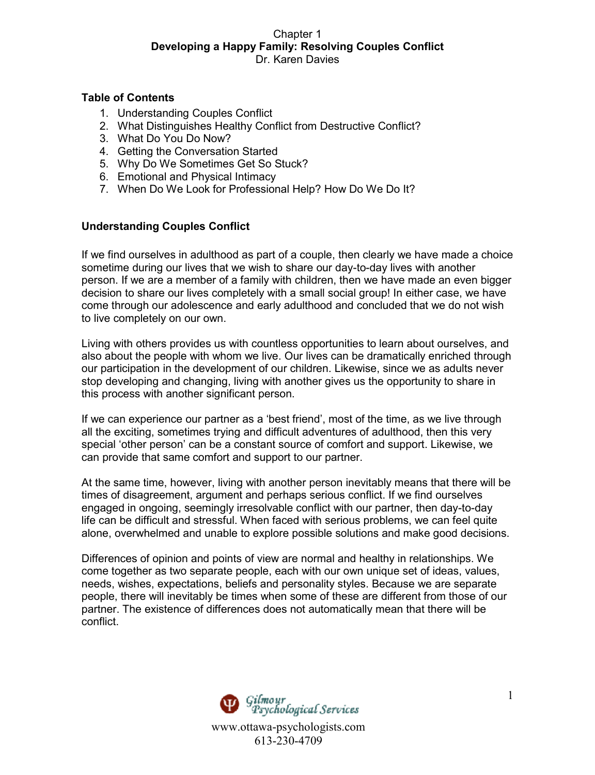### **Table of Contents**

- 1. Understanding Couples Conflict
- 2. What Distinguishes Healthy Conflict from Destructive Conflict?
- 3. What Do You Do Now?
- 4. Getting the Conversation Started
- 5. Why Do We Sometimes Get So Stuck?
- 6. Emotional and Physical Intimacy
- 7. When Do We Look for Professional Help? How Do We Do It?

## **Understanding Couples Conflict**

If we find ourselves in adulthood as part of a couple, then clearly we have made a choice sometime during our lives that we wish to share our day-to-day lives with another person. If we are a member of a family with children, then we have made an even bigger decision to share our lives completely with a small social group! In either case, we have come through our adolescence and early adulthood and concluded that we do not wish to live completely on our own.

Living with others provides us with countless opportunities to learn about ourselves, and also about the people with whom we live. Our lives can be dramatically enriched through our participation in the development of our children. Likewise, since we as adults never stop developing and changing, living with another gives us the opportunity to share in this process with another significant person.

If we can experience our partner as a 'best friend', most of the time, as we live through all the exciting, sometimes trying and difficult adventures of adulthood, then this very special 'other person' can be a constant source of comfort and support. Likewise, we can provide that same comfort and support to our partner.

At the same time, however, living with another person inevitably means that there will be times of disagreement, argument and perhaps serious conflict. If we find ourselves engaged in ongoing, seemingly irresolvable conflict with our partner, then day-to-day life can be difficult and stressful. When faced with serious problems, we can feel quite alone, overwhelmed and unable to explore possible solutions and make good decisions.

Differences of opinion and points of view are normal and healthy in relationships. We come together as two separate people, each with our own unique set of ideas, values, needs, wishes, expectations, beliefs and personality styles. Because we are separate people, there will inevitably be times when some of these are different from those of our partner. The existence of differences does not automatically mean that there will be conflict.

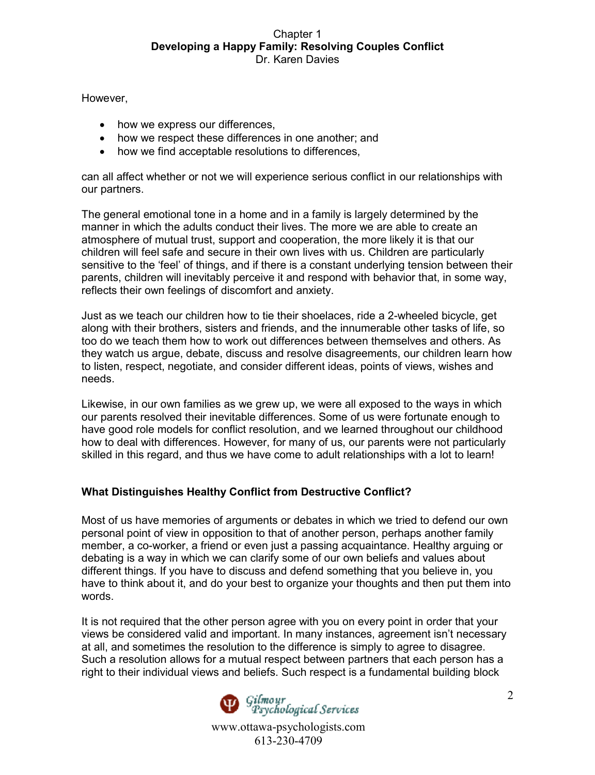However,

- how we express our differences,
- how we respect these differences in one another; and
- how we find acceptable resolutions to differences.

can all affect whether or not we will experience serious conflict in our relationships with our partners.

The general emotional tone in a home and in a family is largely determined by the manner in which the adults conduct their lives. The more we are able to create an atmosphere of mutual trust, support and cooperation, the more likely it is that our children will feel safe and secure in their own lives with us. Children are particularly sensitive to the 'feel' of things, and if there is a constant underlying tension between their parents, children will inevitably perceive it and respond with behavior that, in some way, reflects their own feelings of discomfort and anxiety.

Just as we teach our children how to tie their shoelaces, ride a 2-wheeled bicycle, get along with their brothers, sisters and friends, and the innumerable other tasks of life, so too do we teach them how to work out differences between themselves and others. As they watch us argue, debate, discuss and resolve disagreements, our children learn how to listen, respect, negotiate, and consider different ideas, points of views, wishes and needs.

Likewise, in our own families as we grew up, we were all exposed to the ways in which our parents resolved their inevitable differences. Some of us were fortunate enough to have good role models for conflict resolution, and we learned throughout our childhood how to deal with differences. However, for many of us, our parents were not particularly skilled in this regard, and thus we have come to adult relationships with a lot to learn!

# **What Distinguishes Healthy Conflict from Destructive Conflict?**

Most of us have memories of arguments or debates in which we tried to defend our own personal point of view in opposition to that of another person, perhaps another family member, a co-worker, a friend or even just a passing acquaintance. Healthy arguing or debating is a way in which we can clarify some of our own beliefs and values about different things. If you have to discuss and defend something that you believe in, you have to think about it, and do your best to organize your thoughts and then put them into words.

It is not required that the other person agree with you on every point in order that your views be considered valid and important. In many instances, agreement isn't necessary at all, and sometimes the resolution to the difference is simply to agree to disagree. Such a resolution allows for a mutual respect between partners that each person has a right to their individual views and beliefs. Such respect is a fundamental building block

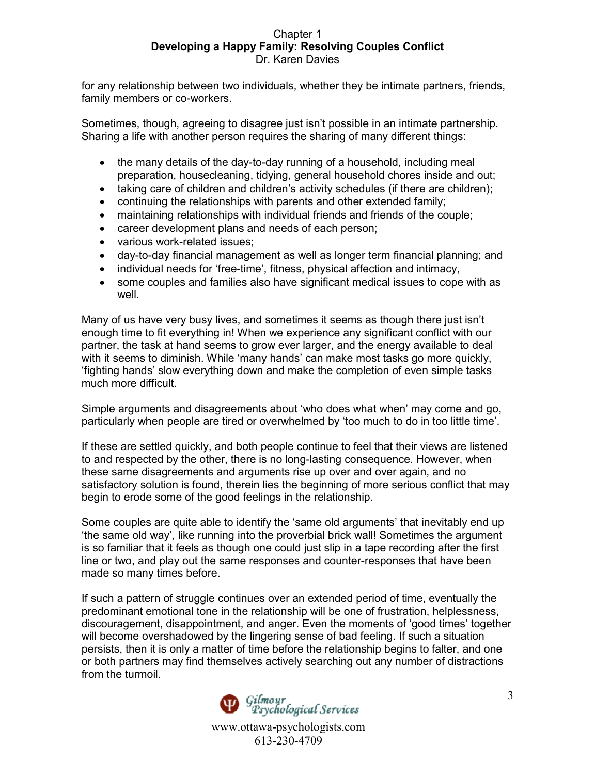for any relationship between two individuals, whether they be intimate partners, friends, family members or co-workers.

Sometimes, though, agreeing to disagree just isn't possible in an intimate partnership. Sharing a life with another person requires the sharing of many different things:

- the many details of the day-to-day running of a household, including meal preparation, housecleaning, tidying, general household chores inside and out;
- taking care of children and children's activity schedules (if there are children);
- continuing the relationships with parents and other extended family;
- maintaining relationships with individual friends and friends of the couple;
- career development plans and needs of each person;
- various work-related issues;
- day-to-day financial management as well as longer term financial planning; and
- individual needs for 'free-time', fitness, physical affection and intimacy,
- some couples and families also have significant medical issues to cope with as well.

Many of us have very busy lives, and sometimes it seems as though there just isn't enough time to fit everything in! When we experience any significant conflict with our partner, the task at hand seems to grow ever larger, and the energy available to deal with it seems to diminish. While 'many hands' can make most tasks go more quickly, 'fighting hands' slow everything down and make the completion of even simple tasks much more difficult.

Simple arguments and disagreements about 'who does what when' may come and go, particularly when people are tired or overwhelmed by 'too much to do in too little time'.

If these are settled quickly, and both people continue to feel that their views are listened to and respected by the other, there is no long-lasting consequence. However, when these same disagreements and arguments rise up over and over again, and no satisfactory solution is found, therein lies the beginning of more serious conflict that may begin to erode some of the good feelings in the relationship.

Some couples are quite able to identify the 'same old arguments' that inevitably end up 'the same old way', like running into the proverbial brick wall! Sometimes the argument is so familiar that it feels as though one could just slip in a tape recording after the first line or two, and play out the same responses and counter-responses that have been made so many times before.

If such a pattern of struggle continues over an extended period of time, eventually the predominant emotional tone in the relationship will be one of frustration, helplessness, discouragement, disappointment, and anger. Even the moments of 'good times' together will become overshadowed by the lingering sense of bad feeling. If such a situation persists, then it is only a matter of time before the relationship begins to falter, and one or both partners may find themselves actively searching out any number of distractions from the turmoil.

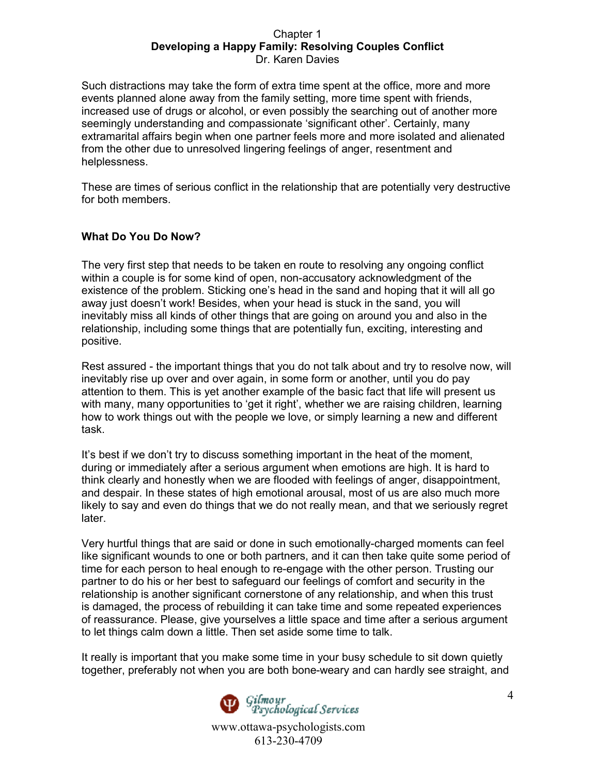Such distractions may take the form of extra time spent at the office, more and more events planned alone away from the family setting, more time spent with friends, increased use of drugs or alcohol, or even possibly the searching out of another more seemingly understanding and compassionate 'significant other'. Certainly, many extramarital affairs begin when one partner feels more and more isolated and alienated from the other due to unresolved lingering feelings of anger, resentment and helplessness.

These are times of serious conflict in the relationship that are potentially very destructive for both members.

# **What Do You Do Now?**

The very first step that needs to be taken en route to resolving any ongoing conflict within a couple is for some kind of open, non-accusatory acknowledgment of the existence of the problem. Sticking one's head in the sand and hoping that it will all go away just doesn't work! Besides, when your head is stuck in the sand, you will inevitably miss all kinds of other things that are going on around you and also in the relationship, including some things that are potentially fun, exciting, interesting and positive.

Rest assured - the important things that you do not talk about and try to resolve now, will inevitably rise up over and over again, in some form or another, until you do pay attention to them. This is yet another example of the basic fact that life will present us with many, many opportunities to 'get it right', whether we are raising children, learning how to work things out with the people we love, or simply learning a new and different task.

It's best if we don't try to discuss something important in the heat of the moment, during or immediately after a serious argument when emotions are high. It is hard to think clearly and honestly when we are flooded with feelings of anger, disappointment, and despair. In these states of high emotional arousal, most of us are also much more likely to say and even do things that we do not really mean, and that we seriously regret later.

Very hurtful things that are said or done in such emotionally-charged moments can feel like significant wounds to one or both partners, and it can then take quite some period of time for each person to heal enough to re-engage with the other person. Trusting our partner to do his or her best to safeguard our feelings of comfort and security in the relationship is another significant cornerstone of any relationship, and when this trust is damaged, the process of rebuilding it can take time and some repeated experiences of reassurance. Please, give yourselves a little space and time after a serious argument to let things calm down a little. Then set aside some time to talk.

It really is important that you make some time in your busy schedule to sit down quietly together, preferably not when you are both bone-weary and can hardly see straight, and

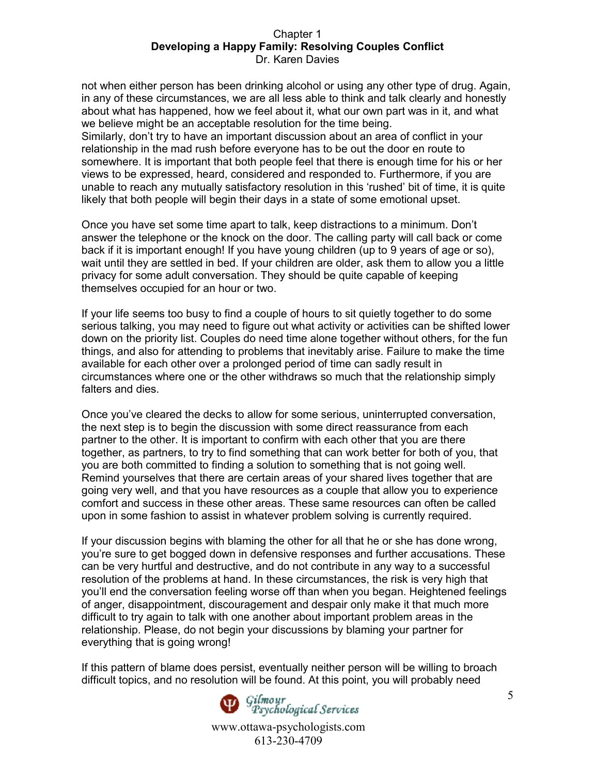not when either person has been drinking alcohol or using any other type of drug. Again, in any of these circumstances, we are all less able to think and talk clearly and honestly about what has happened, how we feel about it, what our own part was in it, and what we believe might be an acceptable resolution for the time being. Similarly, don't try to have an important discussion about an area of conflict in your relationship in the mad rush before everyone has to be out the door en route to somewhere. It is important that both people feel that there is enough time for his or her views to be expressed, heard, considered and responded to. Furthermore, if you are unable to reach any mutually satisfactory resolution in this 'rushed' bit of time, it is quite likely that both people will begin their days in a state of some emotional upset.

Once you have set some time apart to talk, keep distractions to a minimum. Don't answer the telephone or the knock on the door. The calling party will call back or come back if it is important enough! If you have young children (up to 9 years of age or so), wait until they are settled in bed. If your children are older, ask them to allow you a little privacy for some adult conversation. They should be quite capable of keeping themselves occupied for an hour or two.

If your life seems too busy to find a couple of hours to sit quietly together to do some serious talking, you may need to figure out what activity or activities can be shifted lower down on the priority list. Couples do need time alone together without others, for the fun things, and also for attending to problems that inevitably arise. Failure to make the time available for each other over a prolonged period of time can sadly result in circumstances where one or the other withdraws so much that the relationship simply falters and dies.

Once you've cleared the decks to allow for some serious, uninterrupted conversation, the next step is to begin the discussion with some direct reassurance from each partner to the other. It is important to confirm with each other that you are there together, as partners, to try to find something that can work better for both of you, that you are both committed to finding a solution to something that is not going well. Remind yourselves that there are certain areas of your shared lives together that are going very well, and that you have resources as a couple that allow you to experience comfort and success in these other areas. These same resources can often be called upon in some fashion to assist in whatever problem solving is currently required.

If your discussion begins with blaming the other for all that he or she has done wrong, you're sure to get bogged down in defensive responses and further accusations. These can be very hurtful and destructive, and do not contribute in any way to a successful resolution of the problems at hand. In these circumstances, the risk is very high that you'll end the conversation feeling worse off than when you began. Heightened feelings of anger, disappointment, discouragement and despair only make it that much more difficult to try again to talk with one another about important problem areas in the relationship. Please, do not begin your discussions by blaming your partner for everything that is going wrong!

If this pattern of blame does persist, eventually neither person will be willing to broach difficult topics, and no resolution will be found. At this point, you will probably need



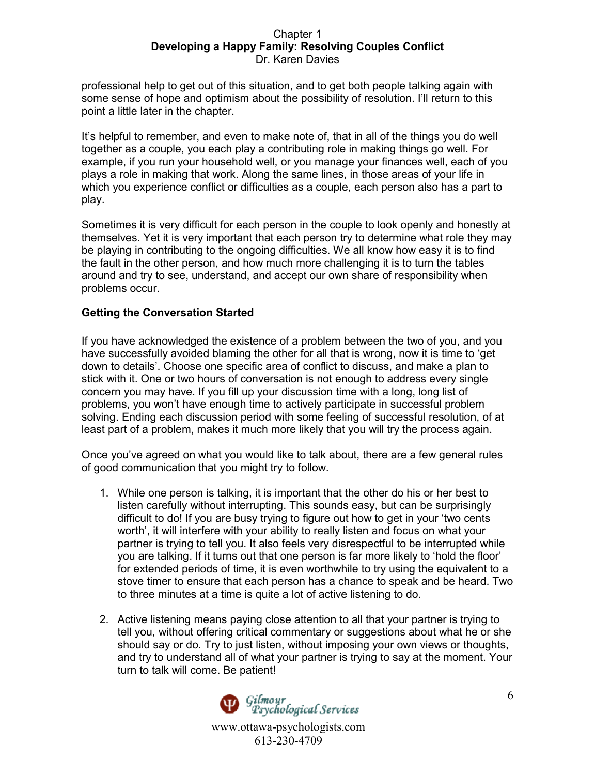professional help to get out of this situation, and to get both people talking again with some sense of hope and optimism about the possibility of resolution. I'll return to this point a little later in the chapter.

It's helpful to remember, and even to make note of, that in all of the things you do well together as a couple, you each play a contributing role in making things go well. For example, if you run your household well, or you manage your finances well, each of you plays a role in making that work. Along the same lines, in those areas of your life in which you experience conflict or difficulties as a couple, each person also has a part to play.

Sometimes it is very difficult for each person in the couple to look openly and honestly at themselves. Yet it is very important that each person try to determine what role they may be playing in contributing to the ongoing difficulties. We all know how easy it is to find the fault in the other person, and how much more challenging it is to turn the tables around and try to see, understand, and accept our own share of responsibility when problems occur.

## **Getting the Conversation Started**

If you have acknowledged the existence of a problem between the two of you, and you have successfully avoided blaming the other for all that is wrong, now it is time to 'get down to details'. Choose one specific area of conflict to discuss, and make a plan to stick with it. One or two hours of conversation is not enough to address every single concern you may have. If you fill up your discussion time with a long, long list of problems, you won't have enough time to actively participate in successful problem solving. Ending each discussion period with some feeling of successful resolution, of at least part of a problem, makes it much more likely that you will try the process again.

Once you've agreed on what you would like to talk about, there are a few general rules of good communication that you might try to follow.

- 1. While one person is talking, it is important that the other do his or her best to listen carefully without interrupting. This sounds easy, but can be surprisingly difficult to do! If you are busy trying to figure out how to get in your 'two cents worth', it will interfere with your ability to really listen and focus on what your partner is trying to tell you. It also feels very disrespectful to be interrupted while you are talking. If it turns out that one person is far more likely to 'hold the floor' for extended periods of time, it is even worthwhile to try using the equivalent to a stove timer to ensure that each person has a chance to speak and be heard. Two to three minutes at a time is quite a lot of active listening to do.
- 2. Active listening means paying close attention to all that your partner is trying to tell you, without offering critical commentary or suggestions about what he or she should say or do. Try to just listen, without imposing your own views or thoughts, and try to understand all of what your partner is trying to say at the moment. Your turn to talk will come. Be patient!

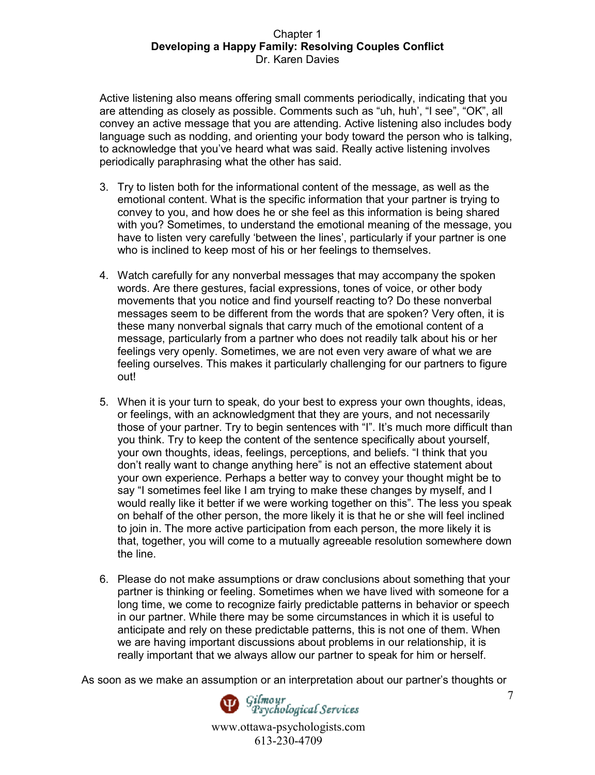Active listening also means offering small comments periodically, indicating that you are attending as closely as possible. Comments such as "uh, huh', "I see", "OK", all convey an active message that you are attending. Active listening also includes body language such as nodding, and orienting your body toward the person who is talking, to acknowledge that you've heard what was said. Really active listening involves periodically paraphrasing what the other has said.

- 3. Try to listen both for the informational content of the message, as well as the emotional content. What is the specific information that your partner is trying to convey to you, and how does he or she feel as this information is being shared with you? Sometimes, to understand the emotional meaning of the message, you have to listen very carefully 'between the lines', particularly if your partner is one who is inclined to keep most of his or her feelings to themselves.
- 4. Watch carefully for any nonverbal messages that may accompany the spoken words. Are there gestures, facial expressions, tones of voice, or other body movements that you notice and find yourself reacting to? Do these nonverbal messages seem to be different from the words that are spoken? Very often, it is these many nonverbal signals that carry much of the emotional content of a message, particularly from a partner who does not readily talk about his or her feelings very openly. Sometimes, we are not even very aware of what we are feeling ourselves. This makes it particularly challenging for our partners to figure out!
- 5. When it is your turn to speak, do your best to express your own thoughts, ideas, or feelings, with an acknowledgment that they are yours, and not necessarily those of your partner. Try to begin sentences with "I". It's much more difficult than you think. Try to keep the content of the sentence specifically about yourself, your own thoughts, ideas, feelings, perceptions, and beliefs. "I think that you don't really want to change anything here" is not an effective statement about your own experience. Perhaps a better way to convey your thought might be to say "I sometimes feel like I am trying to make these changes by myself, and I would really like it better if we were working together on this". The less you speak on behalf of the other person, the more likely it is that he or she will feel inclined to join in. The more active participation from each person, the more likely it is that, together, you will come to a mutually agreeable resolution somewhere down the line.
- 6. Please do not make assumptions or draw conclusions about something that your partner is thinking or feeling. Sometimes when we have lived with someone for a long time, we come to recognize fairly predictable patterns in behavior or speech in our partner. While there may be some circumstances in which it is useful to anticipate and rely on these predictable patterns, this is not one of them. When we are having important discussions about problems in our relationship, it is really important that we always allow our partner to speak for him or herself.

As soon as we make an assumption or an interpretation about our partner's thoughts or



Gilmour<br>Psychological Services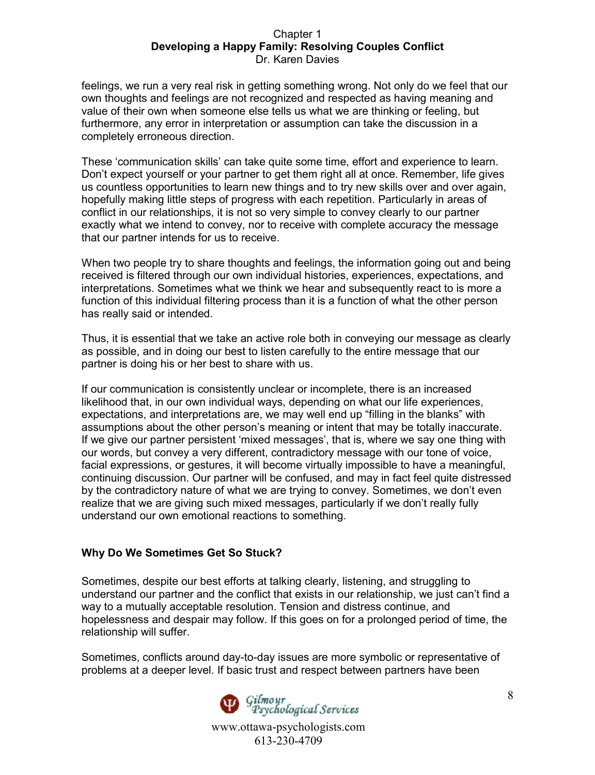feelings, we run a very real risk in getting something wrong. Not only do we feel that our own thoughts and feelings are not recognized and respected as having meaning and value of their own when someone else tells us what we are thinking or feeling, but furthermore, any error in interpretation or assumption can take the discussion in a completely erroneous direction.

These 'communication skills' can take quite some time, effort and experience to learn. Don't expect yourself or your partner to get them right all at once. Remember, life gives us countless opportunities to learn new things and to try new skills over and over again, hopefully making little steps of progress with each repetition. Particularly in areas of conflict in our relationships, it is not so very simple to convey clearly to our partner exactly what we intend to convey, nor to receive with complete accuracy the message that our partner intends for us to receive.

When two people try to share thoughts and feelings, the information going out and being received is filtered through our own individual histories, experiences, expectations, and interpretations. Sometimes what we think we hear and subsequently react to is more a function of this individual filtering process than it is a function of what the other person has really said or intended.

Thus, it is essential that we take an active role both in conveying our message as clearly as possible, and in doing our best to listen carefully to the entire message that our partner is doing his or her best to share with us.

If our communication is consistently unclear or incomplete, there is an increased likelihood that, in our own individual ways, depending on what our life experiences, expectations, and interpretations are, we may well end up "filling in the blanks" with assumptions about the other person's meaning or intent that may be totally inaccurate. If we give our partner persistent 'mixed messages', that is, where we say one thing with our words, but convey a very different, contradictory message with our tone of voice, facial expressions, or gestures, it will become virtually impossible to have a meaningful, continuing discussion. Our partner will be confused, and may in fact feel quite distressed by the contradictory nature of what we are trying to convey. Sometimes, we don't even realize that we are giving such mixed messages, particularly if we don't really fully understand our own emotional reactions to something.

# **Why Do We Sometimes Get So Stuck?**

Sometimes, despite our best efforts at talking clearly, listening, and struggling to understand our partner and the conflict that exists in our relationship, we just can't find a way to a mutually acceptable resolution. Tension and distress continue, and hopelessness and despair may follow. If this goes on for a prolonged period of time, the relationship will suffer.

Sometimes, conflicts around day-to-day issues are more symbolic or representative of problems at a deeper level. If basic trust and respect between partners have been

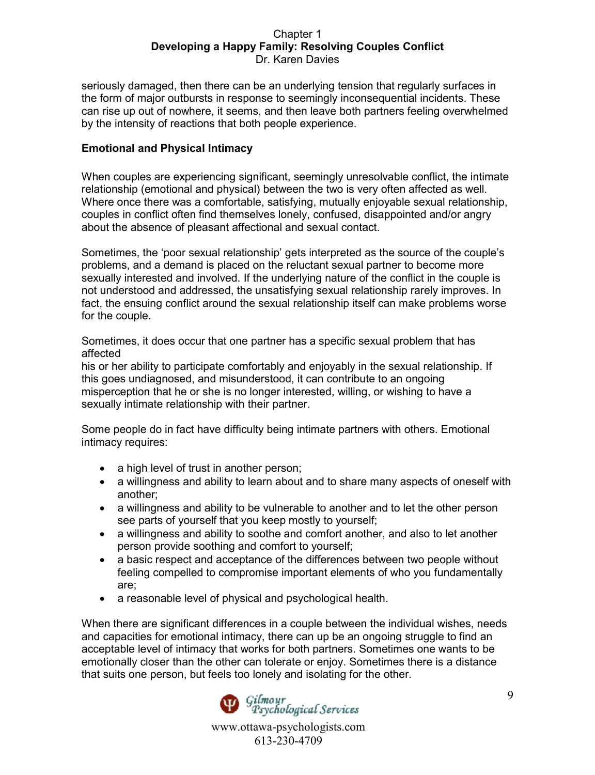seriously damaged, then there can be an underlying tension that regularly surfaces in the form of major outbursts in response to seemingly inconsequential incidents. These can rise up out of nowhere, it seems, and then leave both partners feeling overwhelmed by the intensity of reactions that both people experience.

# **Emotional and Physical Intimacy**

When couples are experiencing significant, seemingly unresolvable conflict, the intimate relationship (emotional and physical) between the two is very often affected as well. Where once there was a comfortable, satisfying, mutually enjoyable sexual relationship, couples in conflict often find themselves lonely, confused, disappointed and/or angry about the absence of pleasant affectional and sexual contact.

Sometimes, the 'poor sexual relationship' gets interpreted as the source of the couple's problems, and a demand is placed on the reluctant sexual partner to become more sexually interested and involved. If the underlying nature of the conflict in the couple is not understood and addressed, the unsatisfying sexual relationship rarely improves. In fact, the ensuing conflict around the sexual relationship itself can make problems worse for the couple.

Sometimes, it does occur that one partner has a specific sexual problem that has affected

his or her ability to participate comfortably and enjoyably in the sexual relationship. If this goes undiagnosed, and misunderstood, it can contribute to an ongoing misperception that he or she is no longer interested, willing, or wishing to have a sexually intimate relationship with their partner.

Some people do in fact have difficulty being intimate partners with others. Emotional intimacy requires:

- a high level of trust in another person;
- a willingness and ability to learn about and to share many aspects of oneself with another;
- a willingness and ability to be vulnerable to another and to let the other person see parts of yourself that you keep mostly to yourself;
- a willingness and ability to soothe and comfort another, and also to let another person provide soothing and comfort to yourself;
- a basic respect and acceptance of the differences between two people without feeling compelled to compromise important elements of who you fundamentally are;
- a reasonable level of physical and psychological health.

When there are significant differences in a couple between the individual wishes, needs and capacities for emotional intimacy, there can up be an ongoing struggle to find an acceptable level of intimacy that works for both partners. Sometimes one wants to be emotionally closer than the other can tolerate or enjoy. Sometimes there is a distance that suits one person, but feels too lonely and isolating for the other.